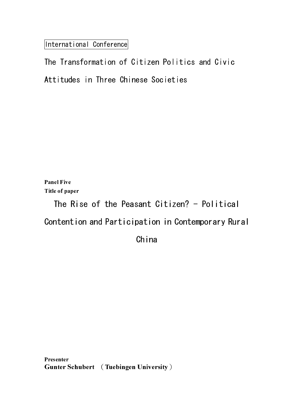International Conference

Panel Five Title of paper

The Rise of the Peasant Citizen? - Political

Contention and Participation in Contemporary Rural

China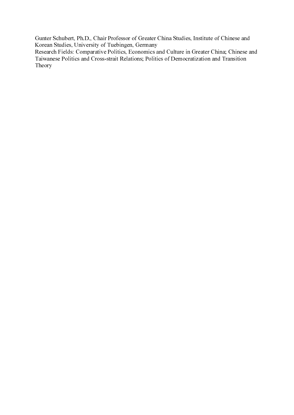Gunter Schubert, Ph.D., Chair Professor of Greater China Studies, Institute of Chinese and Korean Studies, University of Tuebingen, Germany

Konen Studies, Iniversity of Theologean, Gremory, Chairman and Column in Oreland Studies, China Studies, Institute of China Studies, Institute of China Studies, Institute of China Studies, Institute of China Studies, Incor Research Fields: Comparative Politics, Economics and Cross-strait Relations, Politic<br>Taiwanese Politics and Cross-strait Relations, Politic<br>Theory Research Fields: Comparative Politics, Economics and Culture in Greater China; Chinese and Taiwancs: Politics and Cross-strait Relations, Politics of Democratization and Transition<br>Libeary<br>China; Comparative Politics and Culture in Greater China; China; China; China; China; China; China; China; China; China; Chi Taiwanese Politics and Cross-strait Relations; Politics of Democratization and Transition Taiwanese Politics and Cross-strait Relations; Politics of Democratization and Transition Theory Theory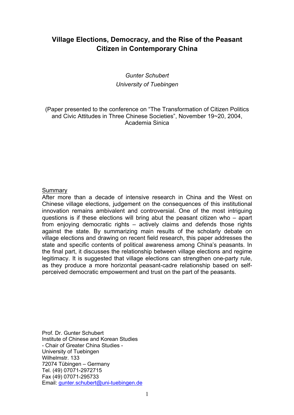# **Village Elections, Democracy, and the Rise of the Peasant Citizen in Contemporary China**

# *Gunter Schubert University of Tuebingen*

(Paper presented to the conference on "The Transformation of Citizen Politics and Civic Attitudes in Three Chinese Societies", November 19~20, 2004, Academia Sinica

## **Summary**

After more than a decade of intensive research in China and the West on Chinese village elections, judgement on the consequences of this institutional innovation remains ambivalent and controversial. One of the most intriguing questions is if these elections will bring abut the peasant citizen who – apart from enjoying democratic rights – actively claims and defends those rights against the state. By summarizing main results of the scholarly debate on village elections and drawing on recent field research, this paper addresses the state and specific contents of political awareness among China's peasants. In the final part, it discusses the relationship between village elections and regime legitimacy. It is suggested that village elections can strengthen one-party rule, as they produce a more horizontal peasant-cadre relationship based on selfperceived democratic empowerment and trust on the part of the peasants.

Prof. Dr. Gunter Schubert Institute of Chinese and Korean Studies - Chair of Greater China Studies - University of Tuebingen Wilhelmstr. 133 72074 Tübingen – Germany Tel. (49) 07071-2972715 Fax (49) 07071-295733 Email: gunter.schubert@uni-tuebingen.de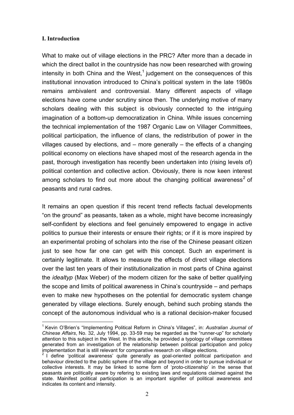# **I. Introduction**

What to make out of village elections in the PRC? After more than a decade in which the direct ballot in the countryside has now been researched with growing intensity in both China and the West, $1$  judgement on the consequences of this institutional innovation introduced to China's political system in the late 1980s remains ambivalent and controversial. Many different aspects of village elections have come under scrutiny since then. The underlying motive of many scholars dealing with this subject is obviously connected to the intriguing imagination of a bottom-up democratization in China. While issues concerning the technical implementation of the 1987 Organic Law on Villager Committees, political participation, the influence of clans, the redistribution of power in the villages caused by elections, and – more generally – the effects of a changing political economy on elections have shaped most of the research agenda in the past, thorough investigation has recently been undertaken into (rising levels of) political contention and collective action. Obviously, there is now keen interest among scholars to find out more about the changing political awareness<sup>2</sup> of peasants and rural cadres.

It remains an open question if this recent trend reflects factual developments "on the ground" as peasants, taken as a whole, might have become increasingly self-confident by elections and feel genuinely empowered to engage in active politics to pursue their interests or ensure their rights; or if it is more inspired by an experimental probing of scholars into the rise of the Chinese peasant citizen just to see how far one can get with this concept. Such an experiment is certainly legitimate. It allows to measure the effects of direct village elections over the last ten years of their institutionalization in most parts of China against the *idealtyp* (Max Weber) of the modern citizen for the sake of better qualifying the scope and limits of political awareness in China's countryside – and perhaps even to make new hypotheses on the potential for democratic system change generated by village elections. Surely enough, behind such probing stands the concept of the autonomous individual who is a rational decision-maker focused

 $\overline{a}$ <sup>1</sup> Kevin O'Brien's "Implementing Political Reform in China's Villages", in: Australian Journal of *Chinese Affairs*, No. 32, July 1994, pp. 33-59 may be regarded as the "runner-up" for scholarly attention to this subject in the West. In this article, he provided a typology of village committees generated from an investigation of the relationship between political participation and policy

implementation that is still relevant for comparative research on village elections.<br><sup>2</sup> I define 'political awareness' quite generally as goal-oriented political participation and behaviour directed to the public sphere of the village and beyond in order to pursue individual or collective interests. It may be linked to some form of 'proto-citizenship' in the sense that peasants are politically aware by refering to existing laws and regulations claimed against the state. Mainifest political participation is an important signifier of political awareness and indicates its content and intensity.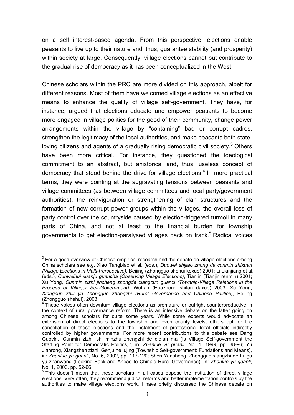on a self interest-based agenda. From this perspective, elections enable peasants to live up to their nature and, thus, guarantee stability (and prosperity) within society at large. Consequently, village elections cannot but contribute to the gradual rise of democracy as it has been conceptualized in the West.

Chinese scholars within the PRC are more divided on this approach, albeit for different reasons. Most of them have welcomed village elections as an effective means to enhance the quality of village self-government. They have, for instance, argued that elections educate and empower peasants to become more engaged in village politics for the good of their community, change power arrangements within the village by "containing" bad or corrupt cadres, strengthen the legitimacy of the local authorities, and make peasants both stateloving citizens and agents of a gradually rising democratic civil society. $3$  Others have been more critical. For instance, they questioned the ideological commitment to an abstract, but ahistorical and, thus, useless concept of democracy that stood behind the drive for village elections.<sup>4</sup> In more practical terms, they were pointing at the aggravating tensions between peasants and village committees (as between village committees and local party/government authorities), the reinvigoration or strengthening of clan structures and the formation of new corrupt power groups within the villages, the overall loss of party control over the countryside caused by election-triggered turmoil in many parts of China, and not at least to the financial burden for township governments to get election-paralysed villages back on track.<sup>5</sup> Radical voices

 $\overline{a}$  $3$  For a good overview of Chinese empirical research and the debate on village elections among China scholars see e.g. Xiao Tangbiao et al. (eds.), *Duowei shijiao zhong de cunmin zhixuan (Village Elections in Multi-Perspective)*, Beijing (Zhongguo shehui kexue) 2001; Li Lianjiang et al. (eds.), *Cunweihui xuanju guancha (Observing Village Elections)*, Tianjin (Tianjin renmin) 2001; Xu Yong, *Cunmin zizhi jincheng zhongde xiangcun guanxi (Townhip-Village Relations in the Process of Villager Self-Government)*, Wuhan (Huazhong shifan daxue) 2003; Xu Yong, *Xiangcun zhili yu Zhongguo zhengzhi (Rural Governance and Chinese Politics)*, Beijing (Zhongguo shehui), 2003.<br><sup>4</sup> Those voices aften dow

These voices often downturn village elections as premature or outright counterproductive in the context of rural governance reform. There is an intensive debate on the latter going on among Chinese scholars for quite some years. While some experts would advocate an extension of direct elections to the township and even county levels, others opt for the cancellation of those elections and the instalment of professional local officials indirectly controlled by higher governments. For more recent contributions to this debate see Dang Guoyin, 'Cunmin zizhi' shi minzhu zhengzhi de qidian ma (Is Village Self-government the Starting Point for Democratic Politics)?, in: *Zhanlue yu guanli*, No. 1, 1999, pp. 88-96; Yu Jianrong, Xiangzhen zizhi: Genju he lujing (Township Self-government: Fundations and Means), in: *Zhanlue yu guanli*, No. 6, 2002, pp. 117-120; Shen Yansheng, Zhongguo xiangzhi de huigu yu zhanwang (Looking Back and Ahead to China's Rural Governance), in: *Zhanlue yu guanli*, No. 1, 2003, pp. 52-66.

 $5$  This doesn't mean that these scholars in all cases oppose the institution of direct village elections. Very often, they recommend judical reforms and better implementation controls by the authorities to make village elections work. I have briefly discussed the Chinese debate on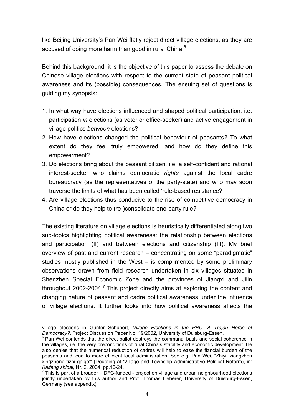like Beijing University's Pan Wei flatly reject direct village elections, as they are accused of doing more harm than good in rural China. $^6$ 

Behind this background, it is the objective of this paper to assess the debate on Chinese village elections with respect to the current state of peasant political awareness and its (possible) consequences. The ensuing set of questions is guiding my synopsis:

- 1. In what way have elections influenced and shaped political participation, i.e. participation *in* elections (as voter or office-seeker) and active engagement in village politics *between* elections?
- 2. How have elections changed the political behaviour of peasants? To what extent do they feel truly empowered, and how do they define this empowerment?
- 3. Do elections bring about the peasant citizen, i.e. a self-confident and rational interest-seeker who claims democratic *rights* against the local cadre bureaucracy (as the representatives of the party-state) and who may soon traverse the limits of what has been called 'rule-based resistance?
- 4. Are village elections thus conducive to the rise of competitive democracy in China or do they help to (re-)consolidate one-party rule?

The existing literature on village elections is heuristically differentiated along two sub-topics highlighting political awareness: the relationship between elections and participation (II) and between elections and citizenship (III). My brief overview of past and current research – concentrating on some "paradigmatic" studies mostly published in the West – is complimented by some preliminary observations drawn from field research undertaken in six villages situated in Shenzhen Special Economic Zone and the provinces of Jiangxi and Jilin throughout 2002-2004.<sup>7</sup> This project directly aims at exploring the content and changing nature of peasant and cadre political awareness under the influence of village elections. It further looks into how political awareness affects the

 $\overline{a}$ village elections in Gunter Schubert, *Village Elections in the PRC. A Trojan Horse of Democracy?*, Project Discussion Paper No. 19/2002, University of Duisburg-Essen. 6

 $6$  Pan Wei contends that the direct ballot destroys the communal basis and social coherence in the villages, i.e. the very preconditions of rural China's stability and economic development. He also denies that the numerical reduction of cadres will help to ease the fiancial burden of the peasants and lead to more efficient local administration. See e.g. Pan Wei, "Zhiyi 'xiangzhen xingzheng tizhi gaige'" (Doubting at 'Village and Township Administrative Political Reform), in: *Kaifang shidai*, Nr. 2, 2004, pp.16-24. 7

 $7$  This is part of a broader – DFG-funded - project on village and urban neighbourhood elections jointly undertaken by this author and Prof. Thomas Heberer, University of Duisburg-Essen, Germany (see appendix).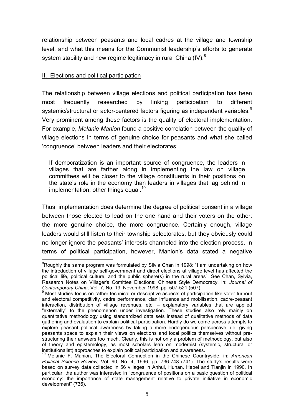relationship between peasants and local cadres at the village and township level, and what this means for the Communist leadership's efforts to generate system stability and new regime legitimacy in rural China (IV). $8$ 

# II. Elections and political participation

 $\overline{a}$ 

The relationship between village elections and political participation has been most frequently researched by linking participation to different systemic/structural or actor-centered factors figuring as independent variables.<sup>9</sup> Very prominent among these factors is the quality of electoral implementation. For example, *Melanie Manion* found a positive correlation between the quality of village elections in terms of genuine choice for peasants and what she called 'congruence' between leaders and their electorates:

If democratization is an important source of congruence, the leaders in villages that are farther along in implementing the law on village committees will be closer to the village constituents in their positions on the state's role in the economy than leaders in villages that lag behind in implementation, other things equal.<sup>10</sup>

Thus, implementation does determine the degree of political consent in a village between those elected to lead on the one hand and their voters on the other: the more genuine choice, the more congruence. Certainly enough, village leaders would still listen to their township selectorates, but they obviously could no longer ignore the peasants' interests channeled into the election process. In terms of political participation, however, Manion's data stated a negative

<sup>&</sup>lt;sup>8</sup>Roughly the same program was formulated by Silvia Chan in 1998: "I am undertaking on how the introduction of village self-government and direct elections at village level has affected the political life, political culture, and the public sphere(s) in the rural areas". See Chan, Sylvia, Research Notes on Villager's Comittee Elections: Chinese Style Democracy, in: *Journal of Contemporary China,* Vol. 7, No. 19, November 1998, pp. 507-521 (507). 9

Most studies focus on rather technical or descriptive aspects of participation like voter turnout and electoral competitivity, cadre performance, clan influence and mobilisation, cadre-peasant interaction, distribution of village revenues, etc. – explanatory variables that are applied "externally" to the phenomenon under investigation. These studies also rely mainly on quantitative methodology using standardized data sets instead of qualitative methods of data gathering and evaluation to explain political participation. Hardly do we come across attempts to explore peasant political awareness by taking a more endogenuous perspective, i.e. giving peasants space to explain their views on elections and local politics themselves without prestructuring their answers too much. Clearly, this is not only a problem of methodology, but also of theory and epistemology, as most scholars lean on modernist (systemic, structural or institutionalist) approaches to explain political participation and awareness.

<sup>10</sup> Melanie F. Manion, The Electoral Connection in the Chinese Countryside, in: *American Political Science Review,* Vol. 90, No. 4, 1996, pp. 736-748 (741). The study's results were based on survey data collected in 56 villages in Anhui, Hunan, Hebei and Tianjin in 1990. In particular, the author was interested in "congruence of positions on a basic question of political economy: the importance of state management relative to private initiative in economic development" (736).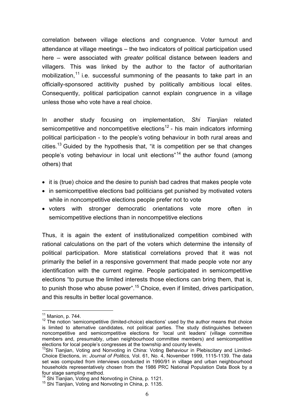correlation between village elections and congruence. Voter turnout and attendance at village meetings – the two indicators of political participation used here – were associated with *greater* political distance between leaders and villagers. This was linked by the author to the factor of authoritarian mobilization,<sup>11</sup> i.e. successful summoning of the peasants to take part in an officially-sponsored actitivity pushed by politically ambitious local elites. Consequently, political participation cannot explain congruence in a village unless those who vote have a real choice.

In another study focusing on implementation, *Shi Tianjian* related semicompetitive and noncompetitive elections<sup>12</sup> - his main indicators informing political participation - to the people's voting behaviour in both rural areas and cities.<sup>13</sup> Guided by the hypothesis that, "it is competition per se that changes people's voting behaviour in local unit elections"<sup>14</sup> the author found (among others) that

- it is (true) choice and the desire to punish bad cadres that makes people vote
- in semicompetitive elections bad politicians get punished by motivated voters while in noncompetitive elections people prefer not to vote
- voters with stronger democratic orientations vote more often in semicompetitive elections than in noncompetitive elections

Thus, it is again the extent of institutionalized competition combined with rational calculations on the part of the voters which determine the intensity of political participation. More statistical correlations proved that it was not primarily the belief in a responsive government that made people vote nor any identification with the current regime. People participated in semicompetitive elections "to pursue the limited interests those elections can bring them, that is, to punish those who abuse power".<sup>15</sup> Choice, even if limited, drives participation, and this results in better local governance.

 $\overline{a}$ 

<sup>&</sup>lt;sup>11</sup> Manion, p. 744.<br><sup>12</sup> The notion 'semicompetitive (limited-choice) elections' used by the author means that choice is limited to alternative candidates, not political parties. The study distinguishes between noncompetitive and semicompetitive elections for 'local unit leaders' (village committee members and, presumably, urban neighbourhood committee members) and semicompetitive

elections for local people's congresses at the township and county levels.<br><sup>13</sup>Shi Tianjian, Voting and Nonvoting in China: Voting Behaviour in Plebiscitary and Limited-Choice Elections, in: *Journal of Politics,* Vol. 61, No. 4, November 1999, 1115-1139. The data set was computed from interviews conducted in 1990/91 in village and urban neighbourhood households representatively chosen from the 1986 PRC National Population Data Book by a four stage sampling method.<br><sup>14</sup> Shi Tianjian, Voting and Nonvoting in China, p. 1121.

 $15$  Shi Tianjian, Voting and Nonvoting in China, p. 1135.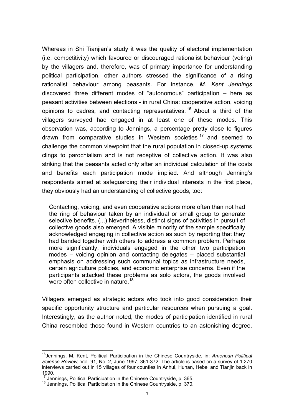Whereas in Shi Tianjian's study it was the quality of electoral implementation (i.e. competitivity) which favoured or discouraged rationalist behaviour (voting) by the villagers and, therefore, was of primary importance for understanding political participation, other authors stressed the significance of a rising rationalist behaviour among peasants. For instance, *M. Kent Jennings* discovered three different modes of "autonomous" participation – here as peasant activities between elections - in rural China: cooperative action, voicing opinions to cadres, and contacting representatives.  $16$  About a third of the villagers surveyed had engaged in at least one of these modes. This observation was, according to Jennings, a percentage pretty close to figures drawn from comparative studies in Western societies <sup>17</sup> and seemed to challenge the common viewpoint that the rural population in closed-up systems clings to parochialism and is not receptive of collective action. It was also striking that the peasants acted only after an individual calculation of the costs and benefits each participation mode implied. And although Jenning's respondents aimed at safeguarding their individual interests in the first place, they obviously had an understanding of collective goods, too:

Contacting, voicing, and even cooperative actions more often than not had the ring of behaviour taken by an individual or small group to generate selective benefits. (...) Nevertheless, distinct signs of activities in pursuit of collective goods also emerged. A visible minority of the sample specifically acknowledged engaging in collective action as such by reporting that they had banded together with others to address a common problem. Perhaps more significantly, individuals engaged in the other two participation modes – voicing opinion and contacting delegates – placed substantial emphasis on addressing such communal topics as infrastructure needs, certain agriculture policies, and economic enterprise concerns. Even if the participants attacked these problems as solo actors, the goods involved were often collective in nature.<sup>18</sup>

Villagers emerged as strategic actors who took into good consideration their specific opportunity structure and particular resources when pursuing a goal. Interestingly, as the author noted, the modes of participation identified in rural China resembled those found in Western countries to an astonishing degree.

 $\overline{a}$ 

<sup>16</sup>Jennings, M. Kent, Political Participation in the Chinese Countryside, in: *American Political Science Review,* Vol. 91, No. 2, June 1997, 361-372. The article is based on a survey of 1.270 interviews carried out in 15 villages of four counties in Anhui, Hunan, Hebei and Tianjin back in 1990.

<sup>&</sup>lt;sup>17</sup> Jennings, Political Participation in the Chinese Countryside, p. 365.<br><sup>18</sup> Jennings, Political Participation in the Chinese Countryside, p. 370.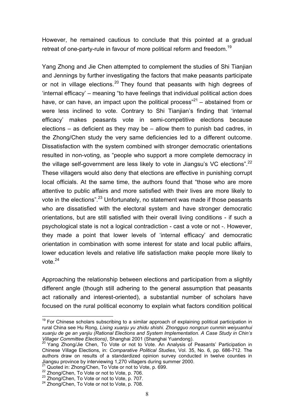However, he remained cautious to conclude that this pointed at a gradual retreat of one-party-rule in favour of more political reform and freedom.<sup>19</sup>

Yang Zhong and Jie Chen attempted to complement the studies of Shi Tianjian and Jennings by further investigating the factors that make peasants participate or not in village elections.<sup>20</sup> They found that peasants with high degrees of 'internal efficacy' – meaning "to have feelings that individual political action does have, or can have, an impact upon the political process<sup>"21</sup> – abstained from or were less inclined to vote. Contrary to Shi Tianjian's finding that 'internal efficacy' makes peasants vote in semi-competitive elections because elections – as deficient as they may be – allow them to punish bad cadres, in the Zhong/Chen study the very same deficiencies led to a different outcome. Dissatisfaction with the system combined with stronger democratic orientations resulted in non-voting, as "people who support a more complete democracy in the village self-government are less likely to vote in Jiangsu's VC elections".<sup>22</sup> These villagers would also deny that elections are effective in punishing corrupt local officials. At the same time, the authors found that "those who are more attentive to public affairs and more satisfied with their lives are more likely to vote in the elections".<sup>23</sup> Unfortunately, no statement was made if those peasants who are dissatisfied with the electoral system and have stronger democratic orientations, but are still satisfied with their overall living conditions - if such a psychological state is not a logical contradiction - cast a vote or not -. However, they made a point that lower levels of 'internal efficacy' and democratic orientation in combination with some interest for state and local public affairs, lower education levels and relative life satisfaction make people more likely to vote. $24$ 

Approaching the relationship between elections and participation from a slightly different angle (though still adhering to the general assumption that peasants act rationally and interest-oriented), a substantial number of scholars have focused on the rural political economy to explain what factors condition political

 $\overline{a}$  $19$  For Chinese scholars subscribing to a similar approach of explaining political participation in rural China see Hu Rong, *Lixing xuanju yu zhidu shishi. Zhongguo nongcun cunmin weiyuanhui xuanju de ge an yanjiu (Rational Elections and System Implementation. A Case Study in Chin's Villager Committee Elections)*, Shanghai 2001 (Shanghai Yuandong). 20 Yang Zhong/Jie Chen, To Vote or not to Vote. An Analysis of Peasants' Participation in

Chinese Village Elections, in: *Comparative Political Studies*, Vol. 35, No. 6, pp. 686-712. The authors draw on results of a standardized opinion survey conducted in twelve counties in Jiangsu province by interviewing 1,270 villagers during summer 2000.

<sup>24</sup> Quoted in: Zhong/Chen, To Vote or not to Vote, p. 699.<br>
22 Zhong/Chen, To Vote or not to Vote, p. 706.<br>
23 Zhong/Chen, To Vote or not to Vote, p. 706.<br>
24 Zhong/Chen, To Vote or not to Vote, p. 707.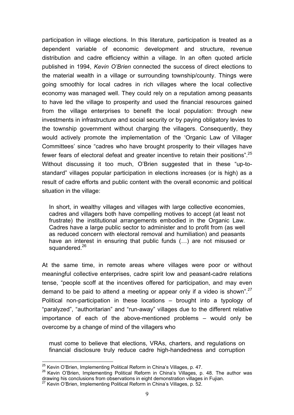participation in village elections. In this literature, participation is treated as a dependent variable of economic development and structure, revenue distribution and cadre efficiency within a village. In an often quoted article published in 1994, *Kevin O'Brien* connected the success of direct elections to the material wealth in a village or surrounding township/county. Things were going smoothly for local cadres in rich villages where the local collective economy was managed well. They could rely on a reputation among peasants to have led the village to prosperity and used the financial resources gained from the village enterprises to benefit the local population: through new investments in infrastructure and social security or by paying obligatory levies to the township government without charging the villagers. Consequently, they would actively promote the implementation of the 'Organic Law of Villager Committees' since "cadres who have brought prosperity to their villages have fewer fears of electoral defeat and greater incentive to retain their positions".<sup>25</sup> Without discussing it too much, O'Brien suggested that in these "up-tostandard" villages popular participation in elections increases (or is high) as a result of cadre efforts and public content with the overall economic and political situation in the village:

In short, in wealthy villages and villages with large collective economies, cadres and villagers both have compelling motives to accept (at least not frustrate) the institutional arrangements embodied in the Organic Law. Cadres have a large public sector to administer and to profit from (as well as reduced concern with electoral removal and humiliation) and peasants have an interest in ensuring that public funds (…) are not misused or squandered.<sup>26</sup>

At the same time, in remote areas where villages were poor or without meaningful collective enterprises, cadre spirit low and peasant-cadre relations tense, "people scoff at the incentives offered for participation, and may even demand to be paid to attend a meeting or appear only if a video is shown".<sup>27</sup> Political non-participation in these locations – brought into a typology of "paralyzed", "authoritarian" and "run-away" villages due to the different relative importance of each of the above-mentioned problems – would only be overcome by a change of mind of the villagers who

must come to believe that elections, VRAs, charters, and regulations on financial disclosure truly reduce cadre high-handedness and corruption

 $\overline{a}$ 

<sup>&</sup>lt;sup>25</sup> Kevin O'Brien, Implementing Political Reform in China's Villages, p. 47.<br><sup>26</sup> Kevin O'Brien, Implementing Political Reform in China's Villages, p. 48. The author was drawing his conclusions from observations in eight demonstration villages in Fujian.

 $^{27}$  Kevin O'Brien, Implementing Political Reform in China's Villages, p. 52.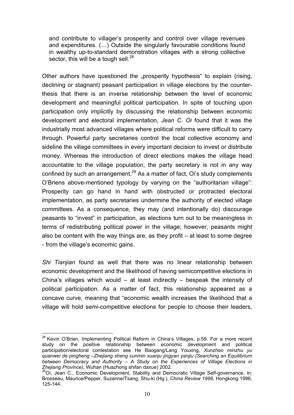and contribute to villager's prosperity and control over village revenues and expenditures. (…) Outside the singularly favourable conditions found in wealthy up-to-standard demonstration villages with a strong collective sector, this will be a tough sell.<sup>28</sup>

Other authors have questioned the "prosperity hypothesis" to explain (rising, declining or stagnant) peasant participation in village elections by the counterthesis that there is an inverse relationship between the level of economic development and meaningful political participation. In spite of touching upon participation only implicitly by discussing the relationship between economic development and electoral implementation, *Jean C. Oi* found that it was the industrially most advanced villages where political reforms were difficult to carry through. Powerful party secretaries control the local collective economy and sideline the village committees in every important decision to invest or distribute money. Whereas the introduction of direct elections makes the village head accountable to the village population, the party secretary is not in any way confined by such an arrangement.<sup>29</sup> As a matter of fact, Oi's study complements O'Briens above-mentioned typology by varying on the "authoritarian village": Prosperity can go hand in hand with obstructed or protracted electoral implementation, as party secretaries undermine the authority of elected village committees. As a consequence, they may (and intentionally do) discourage peasants to "invest" in participation, as elections turn out to be meaningless in terms of redistributing political power in the village; however, peasants might also be content with the way things are, as they profit – at least to some degree - from the village's economic gains.

*Shi Tianjian* found as well that there was no linear relationship between economic development and the likelihood of having semicompetitive elections in China's villages which would – at least indirectly – bespeak the intensity of political participation. As a matter of fact, this relationship appeared as a concave curve, meaning that "economic wealth increases the likelihood that a village will hold semi-competitive elections for people to choose their leaders,

 $\overline{a}$  $^{28}$  Kevin O'Brien, Implementing Political Reform in China's Villages, p.59. For a more recent study on the positive relationship between economic development and political participation/electoral contestation see He Baogang/Lang Youxing, *Xunzhao minzhu yu quanwei de pingheng –Zhejiang sheng cunmin xuanju jingyan yanjiu (Searching an Equilibrium between Democracy and Authority – A Study on the Experiences of Village Elections in*<br>Zhejiang Province), Wuhan (Huazhong shifan daxue) 2002.

*Zhejiang Province)*, Wuhan (Huazhong shiman daxue) 2002.<br><sup>29</sup>Oi, Jean C., Economic Development, Stability and Democratic Village Self-governance, in: Brosseau, Maurice/Pepper, Suzanne/Tsang, Shu-ki (Hg.), *China Review 1996,* Hongkong 1996, 125-144.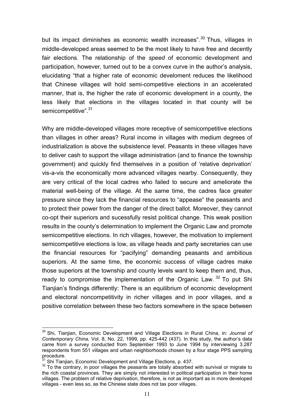but its impact diminishes as economic wealth increases".<sup>30</sup> Thus, villages in middle-developed areas seemed to be the most likely to have free and decently fair elections. The relationship of the *speed* of economic development and participation, however, turned out to be a convex curve in the author's analysis, elucidating "that a higher rate of economic develoment reduces the likelihood that Chinese villages will hold semi-competitive elections in an accelerated manner, that is, the higher the rate of economic development in a county, the less likely that elections in the villages located in that county will be semicompetitive".<sup>31</sup>

Why are middle-developed villages more receptive of semicompetitive elections than villages in other areas? Rural income in villages with medium degrees of industrialization is above the subsistence level. Peasants in these villages have to deliver cash to support the village administration (and to finance the township government) and quickly find themselves in a position of 'relative deprivation' vis-a-vis the economically more advanced villages nearby. Consequently, they are very critical of the local cadres who failed to secure and ameliorate the material well-being of the village. At the same time, the cadres face greater pressure since they lack the financial resources to "appease" the peasants and to protect their power from the danger of the direct ballot. Moreover, they cannot co-opt their superiors and sucessfully resist political change. This weak position results in the county's determination to implement the Organic Law and promote semicompetitive elections. In rich villages, however, the motivation to implement semicompetitive elections is low, as village heads and party secretaries can use the financial resources for "pacifying" demanding peasants and ambitious superiors. At the same time, the economic success of village cadres make those superiors at the township and county levels want to keep them and, thus, ready to compromise the implementation of the Organic Law.  $32$  To put Shi Tianjian's findings differently: There is an equilibrium of economic development and electoral noncompetitivity in richer villages and in poor villages, and a positive correlation between these two factors somewhere in the space between

 $\overline{a}$ 30 Shi, Tianjian, Economic Development and Village Elections in Rural China, in: *Journal of Contemporary China,* Vol. 8, No. 22, 1999, pp. 425-442 (437). In this study, the author's data came from a survey conducted from September 1993 to June 1994 by interviewing 3.287 respondents from 551 villages and urban neighborhoods chosen by a four stage PPS sampling procedure.<br><sup>31</sup> Shi Tianjian, Economic Development and Village Elections, p. 437.

<sup>&</sup>lt;sup>32</sup> To the contrary, in poor villages the peasants are totally absorbed with survival or migrate to the rich coastal provinces. They are simply not interested in political participation in their home villages. The problem of relative deprivation, therefore, is not as important as in more developed villages - even less so, as the Chinese state does not tax poor villages.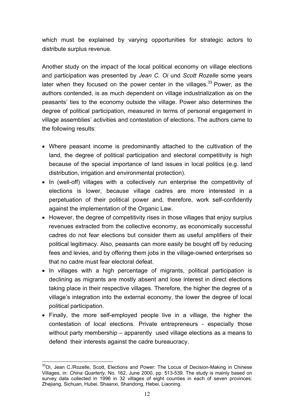which must be explained by varying opportunities for strategic actors to distribute surplus revenue.

Another study on the impact of the local political economy on village elections and participation was presented by *Jean C. Oi* und *Scott Rozelle* some years later when they focused on the power center in the villages.<sup>33</sup> Power, as the authors contended, is as much dependent on village industrialization as on the peasants' ties to the economy outside the village. Power also determines the degree of political participation, measured in terms of personal engagement in village assemblies' activities and contestation of elections. The authors came to the following results:

- Where peasant income is predominantly attached to the cultivation of the land, the degree of political participation and electoral competitivity is high because of the special importance of land issues in local politics (e.g. land distribution, irrigation and environmental protection).
- In (well-off) villages with a collectively run enterprise the competitivity of elections is lower, because village cadres are more interested in a perpetuation of their political power and, therefore, work self-confidently against the implementation of the Organic Law.
- However, the degree of competitivity rises in those villages that enjoy surplus revenues extracted from the collective economy, as economically successful cadres do not fear elections but consider them as useful amplifiers of their political legitimacy. Also, peasants can more easily be bought off by reducing fees and levies, and by offering them jobs in the village-owned enterprises so that no cadre must fear electoral defeat.
- In villages with a high percentage of migrants, political participation is declining as migrants are mostly absent and lose interest in direct elections taking place in their respective villages. Therefore, the higher the degree of a village's integration into the external economy, the lower the degree of local political participation.
- Finally, the more self-employed people live in a village, the higher the contestation of local elections. Private entrepreneurs - especially those without party membership – apparently used village elections as a means to defend their interests against the cadre bureaucracy.

 $\overline{a}$ <sup>33</sup>Oi, Jean C./Rozelle, Scott, Elections and Power: The Locus of Decision-Making in Chinese Villages, in: *China Quarterly,* No. 162, June 2000, pp. 513-539. The study is mainly based on survey data collected in 1996 in 32 villages of eight counties in each of seven provinces: Zhejiang, Sichuan, Hubei, Shaanxi, Shandong, Hebei, Liaoning.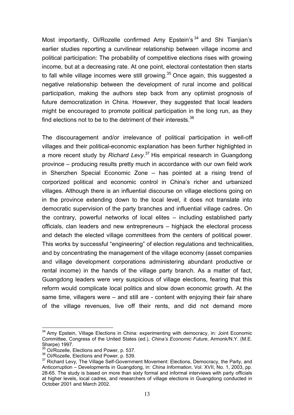Most importantly, Oi/Rozelle confirmed Amy Epstein's <sup>34</sup> and Shi Tianjian's earlier studies reporting a curvilinear relationship between village income and political participation: The probability of competitive elections rises with growing income, but at a decreasing rate. At one point, electoral contestation then starts to fall while village incomes were still growing.<sup>35</sup> Once again, this suggested a negative relationship between the development of rural income and political participation, making the authors step back from any optimist prognosis of future democratization in China. However, they suggested that local leaders might be encouraged to promote political participation in the long run, as they find elections not to be to the detriment of their interests.<sup>36</sup>

The discouragement and/or irrelevance of political participation in well-off villages and their political-economic explanation has been further highlighted in a more recent study by *Richard Levy*. 37 His empirical research in Guangdong province – producing results pretty much in accordance with our own field work in Shenzhen Special Economic Zone – has pointed at a rising trend of corporized political and economic control in China's richer and urbanized villages. Although there is an influential discourse on village elections going on in the province extending down to the local level, it does not translate into democratic supervision of the party branches and influential village cadres. On the contrary, powerful networks of local elites – including established party officials, clan leaders and new entrepreneurs – highjack the electoral process and detach the elected village committees from the centers of political power. This works by successful "engineering" of election regulations and technicalities, and by concentrating the management of the village economy (asset companies and village development corporations administering abundant productive or rental income) in the hands of the village party branch. As a matter of fact, Guangdong leaders were very suspicious of village elections, fearing that this reform would complicate local politics and slow down economic growth. At the same time, villagers were – and still are - content with enjoying their fair share of the village revenues, live off their rents, and did not demand more

 $\overline{a}$ 

 $34$  Amy Epstein, Village Elections in China: experimenting with democracy, in: Joint Economic Committee, Congress of the United States (ed.), *China's Economic Future*, Armonk/N.Y. (M.E. Sharpe) 1997.<br><sup>35</sup> Oi/Rozelle. Elections and Power, p. 537.

<sup>&</sup>lt;sup>36</sup> Oi/Rozelle, Elections and Power, p. 539.<br><sup>37</sup> Richard Levy, The Village Self-Government Movement: Elections, Democracy, the Party, and Anticorruption – Developments in Guangdong, in: *China Information*, Vol. XVII, No. 1, 2003, pp. 28-65. The study is based on more than sixty formal and informal interviews with party officials at higher levels, local cadres, and researchers of village elections in Guangdong conducted in October 2001 and March 2002.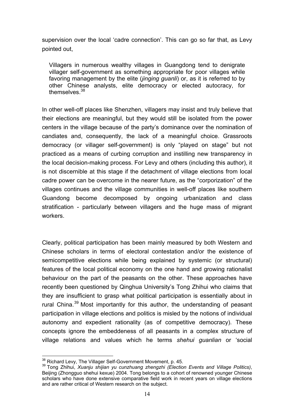supervision over the local 'cadre connection'. This can go so far that, as Levy pointed out,

Villagers in numerous wealthy villages in Guangdong tend to denigrate villager self-government as something appropriate for poor villages while favoring management by the elite (*jinging guanli*) or, as it is referred to by other Chinese analysts, elite democracy or elected autocracy, for themselves  $38$ 

In other well-off places like Shenzhen, villagers may insist and truly believe that their elections are meaningful, but they would still be isolated from the power centers in the village because of the party's dominance over the nomination of candiates and, consequently, the lack of a meaningful choice. Grassroots democracy (or villager self-government) is only "played on stage" but not practiced as a means of curbing corruption and instilling new transparency in the local decision-making process. For Levy and others (including this author), it is not discernible at this stage if the detachment of village elections from local cadre power can be overcome in the nearer future, as the "corporization" of the villages continues and the village communities in well-off places like southern Guandong become decomposed by ongoing urbanization and class stratification - particularly between villagers and the huge mass of migrant workers.

Clearly, political participation has been mainly measured by both Western and Chinese scholars in terms of electoral contestation and/or the existence of semicompetitive elections while being explained by systemic (or structural) features of the local political economy on the one hand and growing rationalist behaviour on the part of the peasants on the other. These approaches have recently been questioned by Qinghua University's Tong Zhihui who claims that they are insufficient to grasp what political participation is essentially about in rural China.<sup>39</sup> Most importantly for this author, the understanding of peasant participation in village elections and politics is misled by the notions of individual autonomy and expedient rationality (as of competitive democracy). These concepts ignore the embeddeness of all peasants in a complex structure of village relations and values which he terms *shehui guanlian* or 'social

<sup>&</sup>lt;sup>38</sup> Richard Levy, The Villager Self-Government Movement, p. 45.

<sup>&</sup>lt;sup>39</sup> Tong Zhihui, *Xuanju shijian yu cunzhuang zhengzhi (Election Events and Village Politics),* Beijing (Zhongguo shehui kexue) 2004. Tong belongs to a cohort of renowned younger Chinese scholars who have done extensive comparative field work in recent years on village elections and are rather critical of Western research on the subject.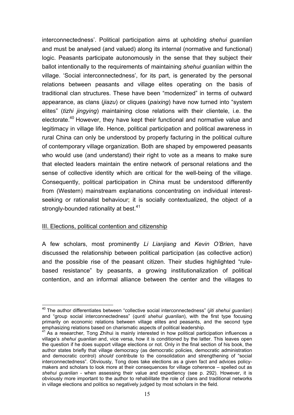interconnectedness'. Political participation aims at upholding *shehui guanlian* and must be analysed (and valued) along its internal (normative and functional) logic. Peasants participate autonomously in the sense that they subject their ballot intentionally to the requirements of maintaining *shehui guanlian* within the village. 'Social interconnectedness', for its part, is generated by the personal relations between peasants and village elites operating on the basis of traditional clan structures. These have been "modernized" in terms of outward appearance, as clans (*jiazu*) or cliques (*paixing*) have now turned into "system elites" (*tizhi jingying*) maintaining close relations with their clientele, i.e. the electorate.<sup>40</sup> However, they have kept their functional and normative value and legitimacy in village life. Hence, political participation and political awareness in rural China can only be understood by properly facturing in the political culture of contemporary village organization. Both are shaped by empowered peasants who would use (and understand) their right to vote as a means to make sure that elected leaders maintain the entire network of personal relations and the sense of collective identity which are critical for the well-being of the village. Consequently, political participation in China must be understood differently from (Western) mainstream explanations concentrating on individual interestseeking or rationalist behaviour; it is socially contextualized, the object of a strongly-bounded rationality at best.<sup>41</sup>

# III. Elections, political contention and citizenship

A few scholars, most prominently *Li Lianjiang* and *Kevin O'Brien*, have discussed the relationship between political participation (as collective action) and the possible rise of the peasant citizen. Their studies highlighted "rulebased resistance" by peasants, a growing institutionalization of political contention, and an informal alliance between the center and the villages to

 $\overline{a}$ 40 The author differentiates between "collective social interconnectedness" (*jiti shehui guanlian*) and "group social interconnectedness" (*qunti shehui guanlian*), with the first type focusing primarily on economic relations between village elites and peasants, and the second type emphasizing relations based on charismatic aspects of political leadership.

 $41$  As a researcher, Tong Zhihui is mainly interested in how political participation influences a village's *shehui guanlian* and, vice versa, how it is conditioned by the latter. This leaves open the question if he does support village elections or not. Only in the final section of his book, the author states briefly that village democracy (as democratic policies, democratic administration and democratic control) *should* contribute to the consolidation and strengthening of "social interconnectedness". Obviously, Tong does take elections as a given fact and advices policymakers and scholars to look more at their consequences for village coherence – spelled out as *shehui guanlian* - when assessing their value and expediency (see p. 292). However, it is obviously more important to the author to rehabilitate the role of clans and traditional networks in village elections and politics so negatively judged by most scholars in the field.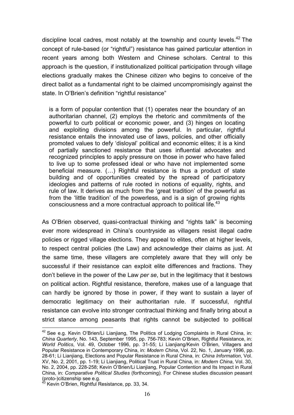discipline local cadres, most notably at the township and county levels.<sup>42</sup> The concept of rule-based (or "rightful") resistance has gained particular attention in recent years among both Western and Chinese scholars. Central to this approach is the question, if institutionalized political participation through village elections gradually makes the Chinese *citizen* who begins to conceive of the direct ballot as a fundamental right to be claimed uncompromisingly against the state. In O'Brien's definition "rightful resistance"

is a form of popular contention that (1) operates near the boundary of an authoritarian channel, (2) employs the rhetoric and commitments of the powerful to curb political or economic power, and (3) hinges on locating and exploiting divisions among the powerful. In particular, rightful resistance entails the innovated use of laws, policies, and other officially promoted values to defy 'disloyal' political and economic elites; it is a kind of partially sanctioned resistance that uses influential advocates and recognized principles to apply pressure on those in power who have failed to live up to some professed ideal or who have not implemented some beneficial measure. (…) Rightful resistance is thus a product of state building and of opportunities created by the spread of participatory ideologies and patterns of rule rooted in notions of equality, rights, and rule of law. It derives as much from the 'great tradition' of the powerful as from the 'little tradition' of the powerless, and is a sign of growing rights consciousness and a more contractual approach to political life.<sup>43</sup>

As O'Brien observed, quasi-contractual thinking and "rights talk" is becoming ever more widespread in China's countryside as villagers resist illegal cadre policies or rigged village elections. They appeal to elites, often at higher levels, to respect central policies (the Law) and acknowledge their claims as just. At the same time, these villagers are completely aware that they will only be successful if their resistance can exploit elite differences and fractions. They don't believe in the power of the Law *per se*, but in the legitimacy that it bestows on political action. Rightful resistance, therefore, makes use of a language that can hardly be ignored by those in power, if they want to sustain a layer of democratic legitimacy on their authoritarian rule. If successful, rightful resistance can evolve into stronger contractual thinking and finally bring about a strict stance among peasants that rights cannot be subjected to political

 $\overline{a}$ 

 $42$  See e.g. Kevin O'Brien/Li Lianiiang. The Politics of Lodging Complaints in Rural China, in: *China Quarterly*, No. 143, September 1995, pp. 756-783; Kevin O'Brien, Rightful Resistance, in: *World Politics*, Vol. 49, October 1996, pp. 31-55; Li Lianjiang/Kevin O'Brien, Villagers and Popular Resistance in Contemporary China, in: *Modern China*, Vol. 22, No. 1, January 1996, pp. 28-61; Li Lianjiang, Elections and Popular Resistance in Rural China, in: *China Information*, Vol. XV, No. 2, 2001, pp. 1-19; Li Lianjiang, Political Trust in Rural China, in: *Modern China*, Vol. 30, No. 2, 2004, pp. 228-258; Kevin O'Brien/Li Lianjiang, Popular Contention and Its Impact in Rural China, in: *Comparative Political Studies* (forthcoming). For Chinese studies discussion peasant (proto-)citizenship see e.g.

 $43$  Kevin O'Brien, Rightful Resistance, pp. 33, 34.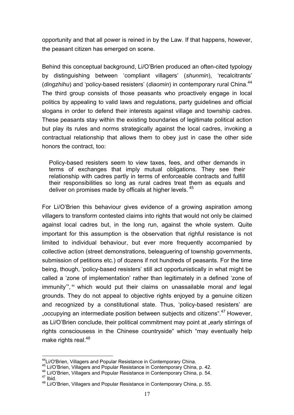opportunity and that all power is reined in by the Law. If that happens, however, the peasant citizen has emerged on scene.

Behind this conceptual background, Li/O'Brien produced an often-cited typology by distinguishing between 'compliant villagers' (*shunmin*), 'recalcitrants' (*dingzhihu*) and 'policy-based resisters' (*diaomin*) in contemporary rural China.<sup>44</sup> The third group consists of those peasants who proactively engage in local politics by appealing to valid laws and regulations, party guidelines and official slogans in order to defend their interests against village and township cadres. These peasants stay within the existing boundaries of legitimate political action but play its rules and norms strategically against the local cadres, invoking a contractual relationship that allows them to obey just in case the other side honors the contract, too:

Policy-based resisters seem to view taxes, fees, and other demands in terms of exchanges that imply mutual obligations. They see their relationship with cadres partly in terms of enforceable contracts and fulfill their responsibilities so long as rural cadres treat them as equals and deliver on promises made by officals at higher levels. <sup>45</sup>

For Li/O'Brien this behaviour gives evidence of a growing aspiration among villagers to transform contested claims into rights that would not only be claimed against local cadres but, in the long run, against the whole system. Quite important for this assumption is the observation that righful resistance is not limited to individual behaviour, but ever more frequently accompanied by collective action (street demonstrations, beleaguering of township governments, submission of petitions etc.) of dozens if not hundreds of peasants. For the time being, though, 'policy-based resisters' still act opportunistically in what might be called a 'zone of implementation' rather than legitimately in a defined 'zone of immunity'", <sup>46</sup> which would put their claims on unassailable moral *and* legal grounds. They do not appeal to objective rights enjoyed by a genuine citizen and recognized by a constitutional state. Thus, 'policy-based resisters' are "occupying an intermediate position between subjects and citizens".<sup>47</sup> However, as Li/O'Brien conclude, their political commitment may point at "early stirrings of rights consciousess in the Chinese countryside" which "may eventually help make rights real.<sup>48</sup>

 $\overline{a}$ 

<sup>&</sup>lt;sup>44</sup>Li/O'Brien, Villagers and Popular Resistance in Contemporary China.<br><sup>45</sup> Li/O'Brien, Villagers and Popular Resistance in Contemporary China, p. 42.<br><sup>46</sup> Li/O'Brien, Villagers and Popular Resistance in Contemporary Chi

<sup>48</sup> Li/O'Brien, Villagers and Popular Resistance in Contemporary China, p. 55.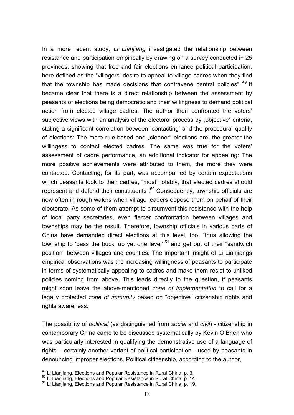In a more recent study, *Li Lianjiang* investigated the relationship between resistance and participation empirically by drawing on a survey conducted in 25 provinces, showing that free and fair elections enhance political participation, here defined as the "villagers' desire to appeal to village cadres when they find that the township has made decisions that contravene central policies". <sup>49</sup> It became clear that there is a direct relationship between the assessment by peasants of elections being democratic and their willingness to demand political action from elected village cadres. The author then confronted the voters' subjective views with an analysis of the electoral process by "objective" criteria, stating a significant correlation between 'contacting' and the procedural quality of elections: The more rule-based and "cleaner" elections are, the greater the willingess to contact elected cadres. The same was true for the voters' assessment of cadre performance, an additional indicator for appealing: The more positive achievements were attributed to them, the more they were contacted. Contacting, for its part, was accompanied by certain expectations which peasants took to their cadres, "most notably, that elected cadres should represent and defend their constituents".<sup>50</sup> Consequently, township officials are now often in rough waters when village leaders oppose them on behalf of their electorate. As some of them attempt to circumvent this resistance with the help of local party secretaries, even fiercer confrontation between villages and townships may be the result. Therefore, township officials in various parts of China have demanded direct elections at this level, too, "thus allowing the township to 'pass the buck' up yet one level"<sup>51</sup> and get out of their "sandwich position" between villages and counties. The important insight of Li Lianjiangs empirical observations was the increasing willingness of peasants to participate in terms of systematically appealing to cadres and make them resist to unliked policies coming from above. This leads directly to the question, if peasants might soon leave the above-mentioned *zone of implementation* to call for a legally protected *zone of immunity* based on "objective" citizenship rights and rights awareness.

The possibility of *political* (as distinguished from *social* and *civil*) - citizenship in contemporary China came to be discussed systematically by Kevin O'Brien who was particularly interested in qualifying the demonstrative use of a language of rights – certainly another variant of political participation - used by peasants in denouncing improper elections. Political citizenship, according to the author,

 $\overline{a}$ 

<sup>&</sup>lt;sup>49</sup> Li Lianjiang, Elections and Popular Resistance in Rural China, p. 3.<br><sup>50</sup> Li Lianjiang, Elections and Popular Resistance in Rural China, p. 14.<br><sup>51</sup> Li Lianjiang, Elections and Popular Resistance in Rural China, p. 19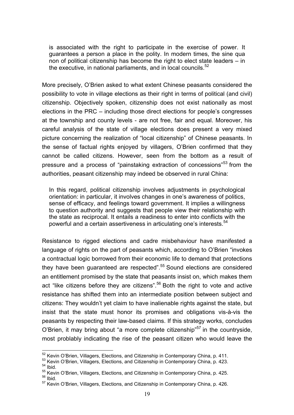is associated with the right to participate in the exercise of power. It guarantees a person a place in the polity. In modern times, the sine qua non of political citizenship has become the right to elect state leaders – in the executive, in national parliaments, and in local councils.<sup>52</sup>

More precisely, O'Brien asked to what extent Chinese peasants considered the possibility to vote in village elections as their right in terms of political (and civil) citizenship. Objectively spoken, citizenship does not exist nationally as most elections in the PRC – including those direct elections for people's congresses at the township and county levels - are not free, fair and equal. Moreover, his careful analysis of the state of village elections does present a very mixed picture concerning the realization of "local citizenship" of Chinese peasants. In the sense of factual rights enjoyed by villagers, O'Brien confirmed that they cannot be called citizens. However, seen from the bottom as a result of pressure and a process of "painstaking extraction of concessions"<sup>53</sup> from the authorities, peasant citizenship may indeed be observed in rural China:

In this regard, political citizenship involves adjustments in psychological orientation: in particular, it involves changes in one's awareness of politics, sense of efficacy, and feelings toward government. It implies a willingness to question authority and suggests that people view their relationship with the state as reciprocal. It entails a readiness to enter into conflicts with the powerful and a certain assertiveness in articulating one's interests.<sup>54</sup>

Resistance to rigged elections and cadre misbehaviour have manifested a language of rights on the part of peasants which, according to O'Brien "invokes a contractual logic borrowed from their economic life to demand that protections they have been guaranteed are respected".<sup>55</sup> Sound elections are considered an entitlement promised by the state that peasants insist on, which makes them act "like citizens before they are citizens".<sup>56</sup> Both the right to vote and active resistance has shifted them into an intermediate position between subject and citizens: They wouldn't yet claim to have inalienable rights against the state, but insist that the state must honor its promises and obligations vis-à-vis the peasants by respecting their law-based claims. If this strategy works, concludes O'Brien, it may bring about "a more complete citizenship"<sup>57</sup> in the countryside. most problably indicating the rise of the peasant citizen who would leave the

 $\overline{a}$ 

<sup>&</sup>lt;sup>52</sup> Kevin O'Brien, Villagers, Elections, and Citizenship in Contemporary China, p. 411.<br><sup>53</sup> Kevin O'Brien, Villagers, Elections, and Citizenship in Contemporary China, p. 423.<br><sup>54</sup> Ibid.

 $55$  Kevin O'Brien, Villagers, Elections, and Citizenship in Contemporary China, p. 425.  $56$  Ibid.

<sup>&</sup>lt;sup>57</sup> Kevin O'Brien, Villagers, Elections, and Citizenship in Contemporary China, p. 426.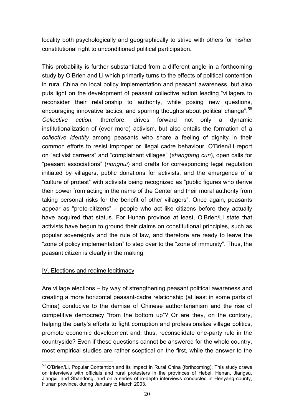locality both psychologically and geographically to strive with others for his/her constitutional right to unconditioned political participation.

This probability is further substantiated from a different angle in a forthcoming study by O'Brien and Li which primarily turns to the effects of political contention in rural China on local policy implementation and peasant awareness, but also puts light on the development of peasant collective action leading "villagers to reconsider their relationship to authority, while posing new questions, encouraging innovative tactics, and spurring thoughts about political change".<sup>58</sup> *Collective action*, therefore, drives forward not only a dynamic institutionalization of (ever more) activism, but also entails the formation of a *collective identity* among peasants who share a feeling of dignity in their common efforts to resist improper or illegal cadre behaviour. O'Brien/Li report on "activist carreers" and "complainant villages" (*shangfang cun*), open calls for "peasant associations" (*nonghui*) and drafts for corresponding legal regulation initiated by villagers, public donations for activists, and the emergence of a "culture of protest" with activists being recognized as "public figures who derive their power from acting in the name of the Center and their moral authority from taking personal risks for the benefit of other villagers". Once again, peasants appear as "proto-citizens" – people who act like citizens before they actually have acquired that status. For Hunan province at least, O'Brien/Li state that activists have begun to ground their claims on constitutional principles, such as popular sovereignty and the rule of law, and therefore are ready to leave the "zone of policy implementation" to step over to the "zone of immunity". Thus, the peasant citizen is clearly in the making.

# IV. Elections and regime legitimacy

Are village elections – by way of strengthening peasant political awareness and creating a more horizontal peasant-cadre relationship (at least in some parts of China) conducive to the demise of Chinese authoritarianism and the rise of competitive democracy "from the bottom up"? Or are they, on the contrary, helping the party's efforts to fight corruption and professionalize village politics, promote economic development and, thus, reconsolidate one-party rule in the countryside? Even if these questions cannot be answered for the whole country, most empirical studies are rather sceptical on the first, while the answer to the

 $\overline{a}$ <sup>58</sup> O'Brien/Li, Popular Contention and its Impact in Rural China (forthcoming). This study draws on interviews with officials and rural protesters in the provinces of Hebei, Henan, Jiangsu, Jiangxi, and Shandong, and on a series of in-depth interviews conducted in Henyang county, Hunan province, during January to March 2003.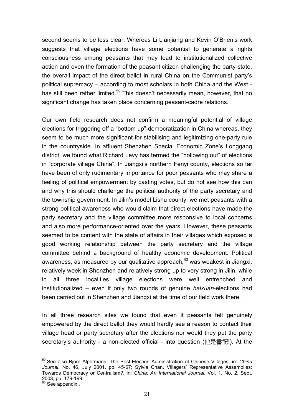second seems to be less clear. Whereas Li Lianjiang and Kevin O'Brien's work suggests that village elections have some potential to generate a rights consciousness among peasants that may lead to institutionalized collective action and even the formation of the peasant citizen challenging the party-state, the overall impact of the direct ballot in rural China on the Communist party's political supremacy – according to most scholars in both China and the West has still been rather limited.<sup>59</sup> This doesn't necessarily mean, however, that no significant change has taken place concerning peasant-cadre relations.

Our own field research does not confirm a meaningful potential of village elections for triggering off a "bottom up"-democratization in China whereas, they seem to be much more significant for stabilising and legitimizing one-party rule in the countryside. In affluent Shenzhen Special Economic Zone's Longgang district, we found what Richard Levy has termed the "hollowing out" of elections in "corporate village China". In Jiangxi's northern Fenyi county, elections so far have been of only rudimentary importance for poor peasants who may share a feeling of political empowerment by casting votes, but do not see how this can and why this should challenge the political authority of the party secretary and the township government. In Jilin's model Lishu county, we met peasants with a strong political awareness who would claim that direct elections have made the party secretary and the village committee more responsive to local concerns and also more performance-oriented over the years. However, these peasants seemed to be content with the state of affairs in their villages which exposed a good working relationship between the party secretary and the village committee behind a background of healthy economic development. Political awareness, as measured by our qualitative approach, $^{60}$  was weakest in Jiangxi, relatively week in Shenzhen and relatively strong up to very strong in Jilin, while in all three localities village elections were well entrenched and institutionalized – even if only two rounds of genuine *haixuan*-elections had been carried out in Shenzhen and Jiangxi at the time of our field work there.

In all three research sites we found that even if peasants felt genuinely empowered by the direct ballot they would hardly see a reason to contact their village head or party secretary after the elections nor would they put the party secretary's authority - a non-elected official - into question (他是書記!). At the

 $\overline{a}$ 59 See also Björn Alpermann, The Post-Election Administration of Chinese Villages, in: *China Journal*, No. 46, July 2001, pp. 45-67; Sylvia Chan, Villagers' Representative Assemblies: Towards Democracy or Centralism?, in: *China: An International Journal*, Vol. 1, No. 2, Sept. 2003, pp. 179-199.

 $60$  See appendix.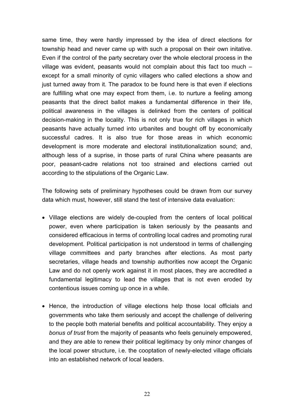same time, they were hardly impressed by the idea of direct elections for township head and never came up with such a proposal on their own initative. Even if the control of the party secretary over the whole electoral process in the village was evident, peasants would not complain about this fact too much – except for a small minority of cynic villagers who called elections a show and just turned away from it. The paradox to be found here is that even if elections are fulfilling what one may expect from them, i.e. to nurture a feeling among peasants that the direct ballot makes a fundamental difference in their life, political awareness in the villages is delinked from the centers of political decision-making in the locality. This is not only true for rich villages in which peasants have actually turned into urbanites and bought off by economically successful cadres. It is also true for those areas in which economic development is more moderate and electoral institutionalization sound; and, although less of a suprise, in those parts of rural China where peasants are poor, peasant-cadre relations not too strained and elections carried out according to the stipulations of the Organic Law.

The following sets of preliminary hypotheses could be drawn from our survey data which must, however, still stand the test of intensive data evaluation:

- Village elections are widely de-coupled from the centers of local political power, even where participation is taken seriously by the peasants and considered efficacious in terms of controlling local cadres and promoting rural development. Political participation is not understood in terms of challenging village committees and party branches after elections. As most party secretaries, village heads and township authorities now accept the Organic Law and do not openly work against it in most places, they are accredited a fundamental legitimacy to lead the villages that is not even eroded by contentious issues coming up once in a while.
- Hence, the introduction of village elections help those local officials and governments who take them seriously and accept the challenge of delivering to the people both material benefits and political accountability. They enjoy a *bonus of trust* from the majority of peasants who feels genuinely empowered, and they are able to renew their political legitimacy by only minor changes of the local power structure, i.e. the cooptation of newly-elected village officials into an established network of local leaders.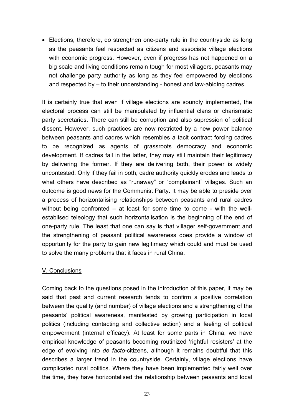• Elections, therefore, do strengthen one-party rule in the countryside as long as the peasants feel respected as citizens and associate village elections with economic progress. However, even if progress has not happened on a big scale and living conditions remain tough for most villagers, peasants may not challenge party authority as long as they feel empowered by elections and respected by – to their understanding - honest and law-abiding cadres.

It is certainly true that even if village elections are soundly implemented, the electoral process can still be manipulated by influential clans or charismatic party secretaries. There can still be corruption and also supression of political dissent. However, such practices are now restricted by a new power balance between peasants and cadres which resembles a tacit contract forcing cadres to be recognized as agents of grassroots democracy and economic development. If cadres fail in the latter, they may still maintain their legitimacy by delivering the former. If they are delivering both, their power is widely uncontested. Only if they fail in both, cadre authority quickly erodes and leads to what others have described as "runaway" or "complainant" villages. Such an outcome is good news for the Communist Party. It may be able to preside over a process of horizontalising relationships between peasants and rural cadres without being confronted – at least for some time to come - with the wellestablised teleology that such horizontalisation is the beginning of the end of one-party rule. The least that one can say is that villager self-government and the strengthening of peasant political awareness does provide a window of opportunity for the party to gain new legitimacy which could and must be used to solve the many problems that it faces in rural China.

# V. Conclusions

Coming back to the questions posed in the introduction of this paper, it may be said that past and current research tends to confirm a positive correlation between the quality (and number) of village elections and a strengthening of the peasants' political awareness, manifested by growing participation in local politics (including contacting and collective action) and a feeling of political empowerment (internal efficacy). At least for some parts in China, we have empirical knowledge of peasants becoming routinized 'rightful resisters' at the edge of evolving into *de facto*-citizens, although it remains doubtful that this describes a larger trend in the countryside. Certainly, village elections have complicated rural politics. Where they have been implemented fairly well over the time, they have horizontalised the relationship between peasants and local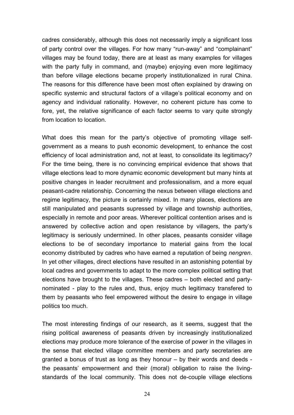cadres considerably, although this does not necessarily imply a significant loss of party control over the villages. For how many "run-away" and "complainant" villages may be found today, there are at least as many examples for villages with the party fully in command, and (maybe) enjoying even more legitimacy than before village elections became properly institutionalized in rural China. The reasons for this difference have been most often explained by drawing on specific systemic and structural factors of a village's political economy and on agency and individual rationality. However, no coherent picture has come to fore, yet, the relative significance of each factor seems to vary quite strongly from location to location.

What does this mean for the party's objective of promoting village selfgovernment as a means to push economic development, to enhance the cost efficiency of local administration and, not at least, to consolidate its legitimacy? For the time being, there is no convincing empirical evidence that shows that village elections lead to more dynamic economic development but many hints at positive changes in leader recruitment and professionalism, and a more equal peasant-cadre relationship. Concerning the nexus between village elections and regime legitimacy, the picture is certainly mixed. In many places, elections are still manipulated and peasants supressed by village and township authorities, especially in remote and poor areas. Wherever political contention arises and is answered by collective action and open resistance by villagers, the party's legitimacy is seriously undermined. In other places, peasants consider village elections to be of secondary importance to material gains from the local economy distributed by cadres who have earned a reputation of being *nengren*. In yet other villages, direct elections have resulted in an astonishing potential by local cadres and governments to adapt to the more complex political setting that elections have brought to the villages. These cadres – both elected and partynominated - play to the rules and, thus, enjoy much legitimacy transfered to them by peasants who feel empowered without the desire to engage in village politics too much.

The most interesting findings of our research, as it seems, suggest that the rising political awareness of peasants driven by increasingly institutionalized elections may produce more tolerance of the exercise of power in the villages in the sense that elected village committee members and party secretaries are granted a bonus of trust as long as they honour – by their words and deeds the peasants' empowerment and their (moral) obligation to raise the livingstandards of the local community. This does not de-couple village elections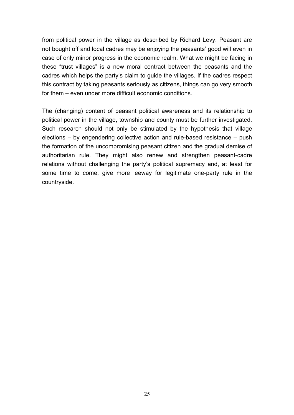from political power in the village as described by Richard Levy. Peasant are not bought off and local cadres may be enjoying the peasants' good will even in case of only minor progress in the economic realm. What we might be facing in these "trust villages" is a new moral contract between the peasants and the cadres which helps the party's claim to guide the villages. If the cadres respect this contract by taking peasants seriously as citizens, things can go very smooth for them – even under more difficult economic conditions.

The (changing) content of peasant political awareness and its relationship to political power in the village, township and county must be further investigated. Such research should not only be stimulated by the hypothesis that village elections – by engendering collective action and rule-based resistance – push the formation of the uncompromising peasant citizen and the gradual demise of authoritarian rule. They might also renew and strengthen peasant-cadre relations without challenging the party's political supremacy and, at least for some time to come, give more leeway for legitimate one-party rule in the countryside.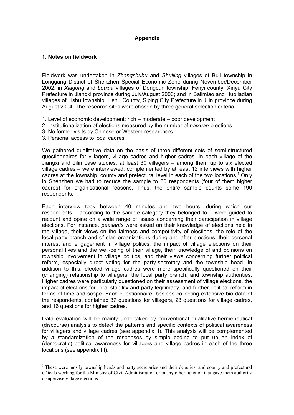## **Appendix**

#### **1. Notes on fieldwork**

Fieldwork was undertaken in *Zhangshubu* and *Shuijing* villages of Buji township in Longgang District of Shenzhen Special Economic Zone during November/December 2002; in *Xiagong* and *Louxia* villages of Dongcun township, Fenyi county, Xinyu City Prefecture in Jiangxi province during July/August 2003; and in Balimiao and Huojiadian villages of Lishu township, Lishu County, Siping City Prefecture in Jilin province during August 2004. The research sites were chosen by three general selection criteria:

- 1. Level of economic development: rich moderate poor development
- 2. Institutionalization of elections measured by the number of *haixuan*-elections
- 3. No former visits by Chinese or Western researchers
- 3. Personal access to local cadres

 $\overline{a}$ 

We gathered qualitative data on the basis of three different sets of semi-structured questionnaires for villagers, village cadres and higher cadres. In each village of the Jiangxi and Jilin case studies, at least 30 villagers – among them up to six elected village cadres – were interviewed, complemented by at least 12 interviews with higher cadres at the township, county and prefectural level in each of the two locations.<sup>1</sup> Only in Shenzhen we had to reduce the sample to 50 respondents (four of them higher cadres) for organisational reasons. Thus, the entire sample counts some 190 respondents.

Each interview took between 40 minutes and two hours, during which our respondents – according to the sample category they belonged to – were guided to recount and opine on a wide range of issues concerning their participation in village elections. For instance, *peasants* were asked on their knowledge of elections held in the village, their views on the fairness and competitivity of elections, the role of the local party branch and of clan organizations during and after elections, their personal interest and engagement in village politics, the impact of village elections on their personal lives and the well-being of their village, their knowledge of and opinions on township involvement in village politics, and their views concerning further political reform, especially direct voting for the party-secretary and the township head. In addition to this, elected village cadres were more specifically questioned on their (changing) relationship to villagers, the local party branch, and township authorities. Higher cadres were particularly questioned on their assessment of village elections, the impact of elections for local stability and party legitimacy, and further political reform in terms of time and scope. Each questionnaire, besides collecting extensive bio-data of the respondents, contained 37 questions for villagers, 23 questions for village cadres, and 16 questions for higher cadres.

Data evaluation will be mainly undertaken by conventional qualitative-hermeneutical (discourse) analysis to detect the patterns and specific contexts of political awareness for villagers and village cadres (see appendix II). This analysis will be complemented by a standardization of the responses by simple coding to put up an index of (democratic) political awareness for villagers and village cadres in each of the three locations (see appendix III).

<sup>&</sup>lt;sup>1</sup> These were mostly township heads and party secretaries and their deputies; and county and prefectural officals working for the Ministry of Civil Administration or in any other function that gave them authority o supervise village elections.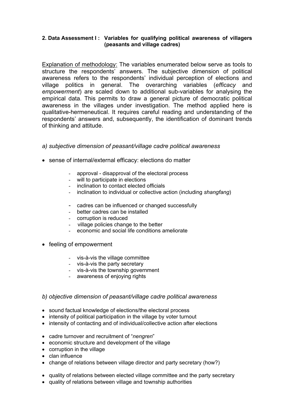#### **2. Data Assessment I : Variables for qualifying political awareness of villagers (peasants and village cadres)**

Explanation of methodology: The variables enumerated below serve as tools to structure the respondents' answers. The subjective dimension of political awareness refers to the respondents' individual perception of elections and village politics in general. The overarching variables (*efficacy* and *empowerment*) are scaled down to additional sub-variables for analysing the empirical data. This permits to draw a general picture of democratic political awareness in the villages under investigation. The method applied here is qualitative-hermeneutical. It requires careful reading and understanding of the respondents' answers and, subsequently, the identification of dominant trends of thinking and attitude.

- *a) subjective dimension of peasant/village cadre political awareness*
- sense of internal/external efficacy: elections do matter
	- approval disapproval of the electoral process
	- will to participate in elections
	- inclination to contact elected officials
	- inclination to individual or collective action (including *shangfang*)
	- cadres can be influenced or changed successfully
	- better cadres can be installed
	- corruption is reduced
	- village policies change to the better
	- economic and social life conditions ameliorate
- feeling of empowerment
	- vis-à-vis the village committee
	- vis-à-vis the party secretary
	- vis-à-vis the township government
	- awareness of enjoying rights

#### *b) objective dimension of peasant/village cadre political awareness*

- sound factual knowledge of elections/the electoral process
- intensity of political participation in the village by voter turnout
- intensity of contacting and of individual/collective action after elections
- cadre turnover and recruitment of "*nengren*"
- economic structure and development of the village
- corruption in the village
- clan influence
- change of relations between village director and party secretary (how?)
- quality of relations between elected village committee and the party secretary
- quality of relations between village and township authorities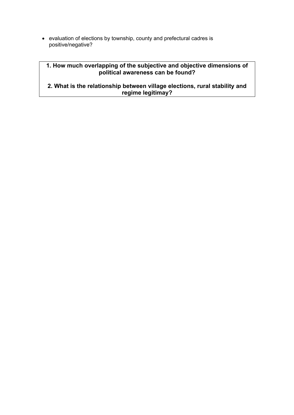• evaluation of elections by township, county and prefectural cadres is positive/negative?

# **1. How much overlapping of the subjective and objective dimensions of political awareness can be found?**

**2. What is the relationship between village elections, rural stability and regime legitimay?**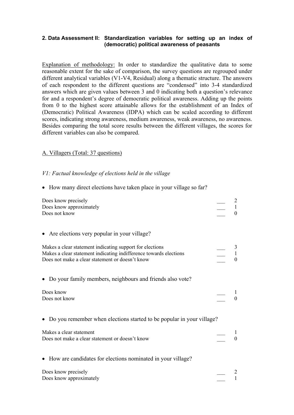#### **2. Data Assessment II: Standardization variables for setting up an index of (democratic) political awareness of peasants**

Explanation of methodology: In order to standardize the qualitative data to some reasonable extent for the sake of comparison, the survey questions are regrouped under different analytical variables (V1-V4, Residual) along a thematic structure. The answers of each respondent to the different questions are "condensed" into 3-4 standardized answers which are given values between 3 and 0 indicating both a question's relevance for and a respondent's degree of democratic political awareness. Adding up the points from 0 to the highest score attainable allows for the establishment of an Index of (Democratic) Political Awareness (IDPA) which can be scaled according to different scores, indicating strong awareness, medium awareness, weak awareness, no awareness. Besides comparing the total score results between the different villages, the scores for different variables can also be compared.

## A. Villagers (Total: 37 questions)

## *V1: Factual knowledge of elections held in the village*

• How many direct elections have taken place in your village so far?

| Does know precisely<br>Does know approximately<br>Does not know                                                                                                                  |          |
|----------------------------------------------------------------------------------------------------------------------------------------------------------------------------------|----------|
| • Are elections very popular in your village?                                                                                                                                    |          |
| Makes a clear statement indicating support for elections<br>Makes a clear statement indicating indifference towards elections<br>Does not make a clear statement or doesn't know |          |
| Do your family members, neighbours and friends also vote?                                                                                                                        |          |
| Does know<br>Does not know                                                                                                                                                       | $\theta$ |
| Do you remember when elections started to be popular in your village?                                                                                                            |          |
| Makes a clear statement<br>Does not make a clear statement or doesn't know                                                                                                       |          |
| • How are candidates for elections nominated in your village?                                                                                                                    |          |
| Does know precisely<br>Does know approximately                                                                                                                                   |          |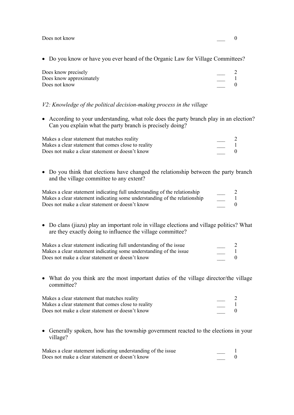Does not know  $\qquad 0$ 

• Do you know or have you ever heard of the Organic Law for Village Committees?

| Does know precisely     |  |
|-------------------------|--|
| Does know approximately |  |
| Does not know           |  |
|                         |  |

#### *V2: Knowledge of the political decision-making process in the village*

• According to your understanding, what role does the party branch play in an election? Can you explain what the party branch is precisely doing?

| Makes a clear statement that matches reality        |  |
|-----------------------------------------------------|--|
| Makes a clear statement that comes close to reality |  |
| Does not make a clear statement or doesn't know     |  |

• Do you think that elections have changed the relationship between the party branch and the village committee to any extent?

| Makes a clear statement indicating full understanding of the relationship |  |
|---------------------------------------------------------------------------|--|
| Makes a clear statement indicating some understanding of the relationship |  |
| Does not make a clear statement or doesn't know                           |  |

• Do clans (jiazu) play an important role in village elections and village politics? What are they exactly doing to influence the village committee?

| Makes a clear statement indicating full understanding of the issue |  |
|--------------------------------------------------------------------|--|
| Makes a clear statement indicating some understanding of the issue |  |
| Does not make a clear statement or doesn't know                    |  |

• What do you think are the most important duties of the village director/the village committee?

| Makes a clear statement that matches reality        |  |
|-----------------------------------------------------|--|
| Makes a clear statement that comes close to reality |  |
| Does not make a clear statement or doesn't know     |  |

• Generally spoken, how has the township government reacted to the elections in your village?

| Makes a clear statement indicating understanding of the issue |  |
|---------------------------------------------------------------|--|
| Does not make a clear statement or doesn't know               |  |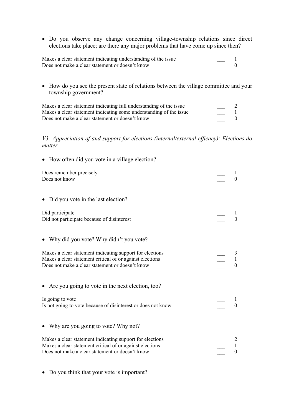• Do you observe any change concerning village-township relations since direct elections take place; are there any major problems that have come up since then?

| Makes a clear statement indicating understanding of the issue |  |
|---------------------------------------------------------------|--|
| Does not make a clear statement or doesn't know               |  |

• How do you see the present state of relations between the village committee and your township government?

| Makes a clear statement indicating full understanding of the issue |  |
|--------------------------------------------------------------------|--|
| Makes a clear statement indicating some understanding of the issue |  |
| Does not make a clear statement or doesn't know                    |  |

# *V3: Appreciation of and support for elections (internal/external efficacy): Elections do matter*

| • How often did you vote in a village election?                                                                                                                         |                |
|-------------------------------------------------------------------------------------------------------------------------------------------------------------------------|----------------|
| Does remember precisely<br>Does not know                                                                                                                                | $\theta$       |
| • Did you vote in the last election?                                                                                                                                    |                |
| Did participate<br>Did not participate because of disinterest                                                                                                           | $\theta$       |
| • Why did you vote? Why didn't you vote?                                                                                                                                |                |
| Makes a clear statement indicating support for elections<br>Makes a clear statement critical of or against elections<br>Does not make a clear statement or doesn't know | $\theta$       |
| • Are you going to vote in the next election, too?                                                                                                                      |                |
| Is going to vote<br>Is not going to vote because of disinterest or does not know                                                                                        | $\Omega$       |
| Why are you going to vote? Why not?                                                                                                                                     |                |
| Makes a clear statement indicating support for elections<br>Makes a clear statement critical of or against elections<br>Does not make a clear statement or doesn't know | $\overline{0}$ |

• Do you think that your vote is important?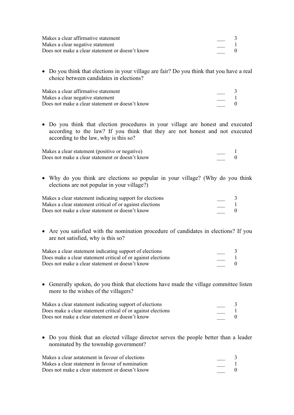| Makes a clear affirmative statement             |  |
|-------------------------------------------------|--|
| Makes a clear negative statement                |  |
| Does not make a clear statement or doesn't know |  |

• Do you think that elections in your village are fair? Do you think that you have a real choice between candidates in elections?

| Makes a clear affirmative statement             |  |
|-------------------------------------------------|--|
| Makes a clear negative statement                |  |
| Does not make a clear statement or doesn't know |  |

• Do you think that election procedures in your village are honest and executed according to the law? If you think that they are not honest and not executed according to the law, why is this so?

| Makes a clear statement (positive or negative)  |  |
|-------------------------------------------------|--|
| Does not make a clear statement or doesn't know |  |

• Why do you think are elections so popular in your village? (Why do you think elections are not popular in your village?)

| Makes a clear statement indicating support for elections |  |
|----------------------------------------------------------|--|
| Makes a clear statement critical of or against elections |  |
| Does not make a clear statement or doesn't know          |  |

• Are you satisfied with the nomination procedure of candidates in elections? If you are not satisfied, why is this so?

| Makes a clear statement indicating support of elections      |  |
|--------------------------------------------------------------|--|
| Does make a clear statement critical of or against elections |  |
| Does not make a clear statement or doesn't know              |  |

• Generally spoken, do you think that elections have made the village committee listen more to the wishes of the villagers?

| Makes a clear statement indicating support of elections      |  |
|--------------------------------------------------------------|--|
| Does make a clear statement critical of or against elections |  |
| Does not make a clear statement or doesn't know              |  |

• Do you think that an elected village director serves the people better than a leader nominated by the township government?

| Makes a clear astatement in favour of elections |  |
|-------------------------------------------------|--|
| Makes a clear statement in favour of nomination |  |
| Does not make a clear statement or doesn't know |  |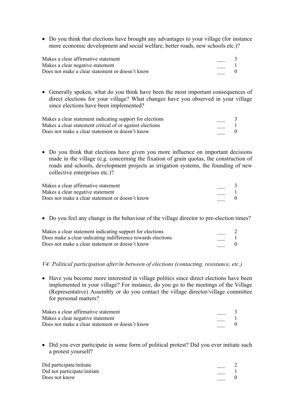• Do you think that elections have brought any advantages to your village (for instance more economic development and social welfare, better roads, new schools etc.)?

| Makes a clear affirmative statement             |  |
|-------------------------------------------------|--|
| Makes a clear negative statement                |  |
| Does not make a clear statement or doesn't know |  |

• Generally spoken, what do you think have been the most important consequences of direct elections for your village? What changes have you observed in your village since elections have been implemented?

| Makes a clear statement indicating support for elections |  |
|----------------------------------------------------------|--|
| Makes a clear statement critical of or against elections |  |
| Does not make a clear statement or doesn't know          |  |

• Do you think that elections have given you more influence on important decisions made in the village (e.g. concerning the fixation of grain quotas, the construction of roads and schools, development projects as irrigation systems, the founding of new collective enterprises etc.)?

| Makes a clear affirmative statement             |  |
|-------------------------------------------------|--|
| Makes a clear negative statement                |  |
| Does not make a clear statement or doesn't know |  |

• Do you feel any change in the behaviour of the village director to pre-election times?

| Makes a clear statement indicating support for elections    |  |
|-------------------------------------------------------------|--|
| Does make a clear indicating indifference towards elections |  |
| Does not make a clear statement or doesn't know             |  |

#### *V4: Political participation after/in between of elections (contacting, resistance, etc.)*

• Have you become more interested in village politics since direct elections have been implemented in your village? For instance, do you go to the meetings of the Village (Representative) Assembly or do you contact the village director/village committee for personal matters?

| Makes a clear affirmative statement             |  |
|-------------------------------------------------|--|
| Makes a clear negative statement                |  |
| Does not make a clear statement or doesn't know |  |

• Did you ever participate in some form of political protest? Did you ever initiate such a protest yourself?

| Did participate/initiate     |  |
|------------------------------|--|
| Did not participate/initiate |  |
| Does not know                |  |